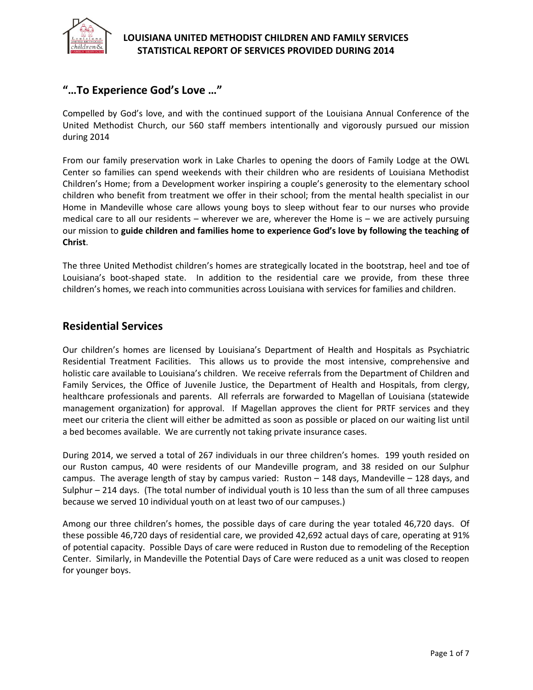

## **"…To Experience God's Love …"**

Compelled by God's love, and with the continued support of the Louisiana Annual Conference of the United Methodist Church, our 560 staff members intentionally and vigorously pursued our mission during 2014

From our family preservation work in Lake Charles to opening the doors of Family Lodge at the OWL Center so families can spend weekends with their children who are residents of Louisiana Methodist Children's Home; from a Development worker inspiring a couple's generosity to the elementary school children who benefit from treatment we offer in their school; from the mental health specialist in our Home in Mandeville whose care allows young boys to sleep without fear to our nurses who provide medical care to all our residents – wherever we are, wherever the Home is – we are actively pursuing our mission to **guide children and families home to experience God's love by following the teaching of Christ**.

The three United Methodist children's homes are strategically located in the bootstrap, heel and toe of Louisiana's boot-shaped state. In addition to the residential care we provide, from these three children's homes, we reach into communities across Louisiana with services for families and children.

### **Residential Services**

Our children's homes are licensed by Louisiana's Department of Health and Hospitals as Psychiatric Residential Treatment Facilities. This allows us to provide the most intensive, comprehensive and holistic care available to Louisiana's children. We receive referrals from the Department of Children and Family Services, the Office of Juvenile Justice, the Department of Health and Hospitals, from clergy, healthcare professionals and parents. All referrals are forwarded to Magellan of Louisiana (statewide management organization) for approval. If Magellan approves the client for PRTF services and they meet our criteria the client will either be admitted as soon as possible or placed on our waiting list until a bed becomes available. We are currently not taking private insurance cases.

During 2014, we served a total of 267 individuals in our three children's homes. 199 youth resided on our Ruston campus, 40 were residents of our Mandeville program, and 38 resided on our Sulphur campus. The average length of stay by campus varied: Ruston – 148 days, Mandeville – 128 days, and Sulphur – 214 days. (The total number of individual youth is 10 less than the sum of all three campuses because we served 10 individual youth on at least two of our campuses.)

Among our three children's homes, the possible days of care during the year totaled 46,720 days. Of these possible 46,720 days of residential care, we provided 42,692 actual days of care, operating at 91% of potential capacity. Possible Days of care were reduced in Ruston due to remodeling of the Reception Center. Similarly, in Mandeville the Potential Days of Care were reduced as a unit was closed to reopen for younger boys.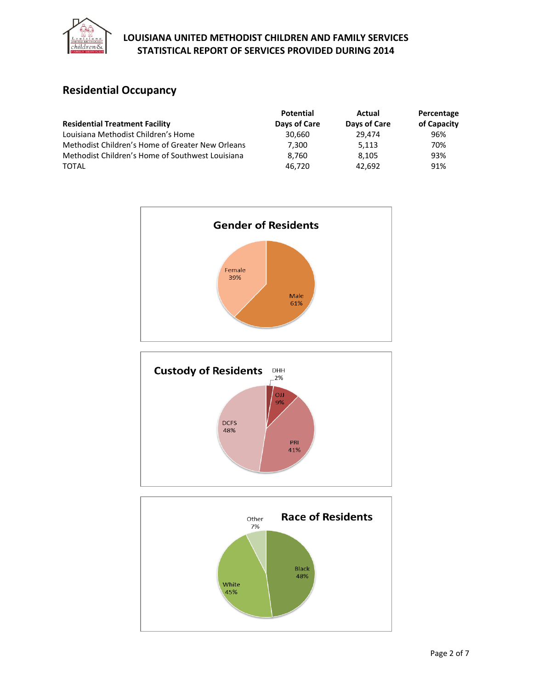

# **Residential Occupancy**

|                                                  | <b>Potential</b> | Actual       | Percentage  |
|--------------------------------------------------|------------------|--------------|-------------|
| <b>Residential Treatment Facility</b>            | Days of Care     | Days of Care | of Capacity |
| Louisiana Methodist Children's Home              | 30.660           | 29.474       | 96%         |
| Methodist Children's Home of Greater New Orleans | 7,300            | 5.113        | 70%         |
| Methodist Children's Home of Southwest Louisiana | 8.760            | 8.105        | 93%         |
| <b>TOTAL</b>                                     | 46.720           | 42.692       | 91%         |





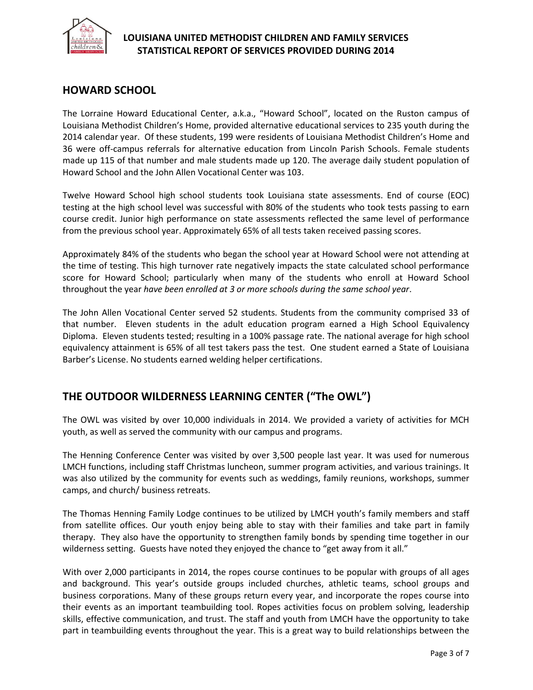

## **HOWARD SCHOOL**

The Lorraine Howard Educational Center, a.k.a., "Howard School", located on the Ruston campus of Louisiana Methodist Children's Home, provided alternative educational services to 235 youth during the 2014 calendar year. Of these students, 199 were residents of Louisiana Methodist Children's Home and 36 were off-campus referrals for alternative education from Lincoln Parish Schools. Female students made up 115 of that number and male students made up 120. The average daily student population of Howard School and the John Allen Vocational Center was 103.

Twelve Howard School high school students took Louisiana state assessments. End of course (EOC) testing at the high school level was successful with 80% of the students who took tests passing to earn course credit. Junior high performance on state assessments reflected the same level of performance from the previous school year. Approximately 65% of all tests taken received passing scores.

Approximately 84% of the students who began the school year at Howard School were not attending at the time of testing. This high turnover rate negatively impacts the state calculated school performance score for Howard School; particularly when many of the students who enroll at Howard School throughout the year *have been enrolled at 3 or more schools during the same school year*.

The John Allen Vocational Center served 52 students. Students from the community comprised 33 of that number. Eleven students in the adult education program earned a High School Equivalency Diploma. Eleven students tested; resulting in a 100% passage rate. The national average for high school equivalency attainment is 65% of all test takers pass the test. One student earned a State of Louisiana Barber's License. No students earned welding helper certifications.

## **THE OUTDOOR WILDERNESS LEARNING CENTER ("The OWL")**

The OWL was visited by over 10,000 individuals in 2014. We provided a variety of activities for MCH youth, as well as served the community with our campus and programs.

The Henning Conference Center was visited by over 3,500 people last year. It was used for numerous LMCH functions, including staff Christmas luncheon, summer program activities, and various trainings. It was also utilized by the community for events such as weddings, family reunions, workshops, summer camps, and church/ business retreats.

The Thomas Henning Family Lodge continues to be utilized by LMCH youth's family members and staff from satellite offices. Our youth enjoy being able to stay with their families and take part in family therapy. They also have the opportunity to strengthen family bonds by spending time together in our wilderness setting. Guests have noted they enjoyed the chance to "get away from it all."

With over 2,000 participants in 2014, the ropes course continues to be popular with groups of all ages and background. This year's outside groups included churches, athletic teams, school groups and business corporations. Many of these groups return every year, and incorporate the ropes course into their events as an important teambuilding tool. Ropes activities focus on problem solving, leadership skills, effective communication, and trust. The staff and youth from LMCH have the opportunity to take part in teambuilding events throughout the year. This is a great way to build relationships between the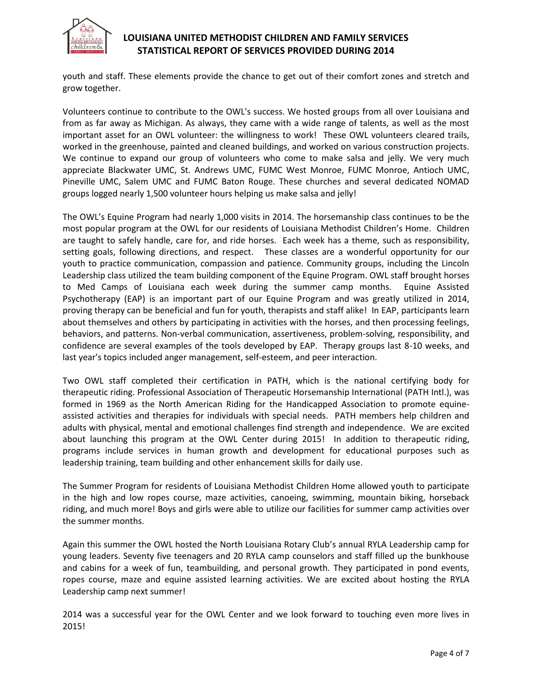

youth and staff. These elements provide the chance to get out of their comfort zones and stretch and grow together.

Volunteers continue to contribute to the OWL's success. We hosted groups from all over Louisiana and from as far away as Michigan. As always, they came with a wide range of talents, as well as the most important asset for an OWL volunteer: the willingness to work! These OWL volunteers cleared trails, worked in the greenhouse, painted and cleaned buildings, and worked on various construction projects. We continue to expand our group of volunteers who come to make salsa and jelly. We very much appreciate Blackwater UMC, St. Andrews UMC, FUMC West Monroe, FUMC Monroe, Antioch UMC, Pineville UMC, Salem UMC and FUMC Baton Rouge. These churches and several dedicated NOMAD groups logged nearly 1,500 volunteer hours helping us make salsa and jelly!

The OWL's Equine Program had nearly 1,000 visits in 2014. The horsemanship class continues to be the most popular program at the OWL for our residents of Louisiana Methodist Children's Home. Children are taught to safely handle, care for, and ride horses. Each week has a theme, such as responsibility, setting goals, following directions, and respect. These classes are a wonderful opportunity for our youth to practice communication, compassion and patience. Community groups, including the Lincoln Leadership class utilized the team building component of the Equine Program. OWL staff brought horses to Med Camps of Louisiana each week during the summer camp months. Equine Assisted Psychotherapy (EAP) is an important part of our Equine Program and was greatly utilized in 2014, proving therapy can be beneficial and fun for youth, therapists and staff alike! In EAP, participants learn about themselves and others by participating in activities with the horses, and then processing feelings, behaviors, and patterns. Non-verbal communication, assertiveness, problem-solving, responsibility, and confidence are several examples of the tools developed by EAP. Therapy groups last 8-10 weeks, and last year's topics included anger management, self-esteem, and peer interaction.

Two OWL staff completed their certification in PATH, which is the national certifying body for therapeutic riding. Professional Association of Therapeutic Horsemanship International (PATH Intl.), was formed in 1969 as the North American Riding for the Handicapped Association to promote equineassisted activities and therapies for individuals with special needs. PATH members help children and adults with physical, mental and emotional challenges find strength and independence. We are excited about launching this program at the OWL Center during 2015! In addition to therapeutic riding, programs include services in human growth and development for educational purposes such as leadership training, team building and other enhancement skills for daily use.

The Summer Program for residents of Louisiana Methodist Children Home allowed youth to participate in the high and low ropes course, maze activities, canoeing, swimming, mountain biking, horseback riding, and much more! Boys and girls were able to utilize our facilities for summer camp activities over the summer months.

Again this summer the OWL hosted the North Louisiana Rotary Club's annual RYLA Leadership camp for young leaders. Seventy five teenagers and 20 RYLA camp counselors and staff filled up the bunkhouse and cabins for a week of fun, teambuilding, and personal growth. They participated in pond events, ropes course, maze and equine assisted learning activities. We are excited about hosting the RYLA Leadership camp next summer!

2014 was a successful year for the OWL Center and we look forward to touching even more lives in 2015!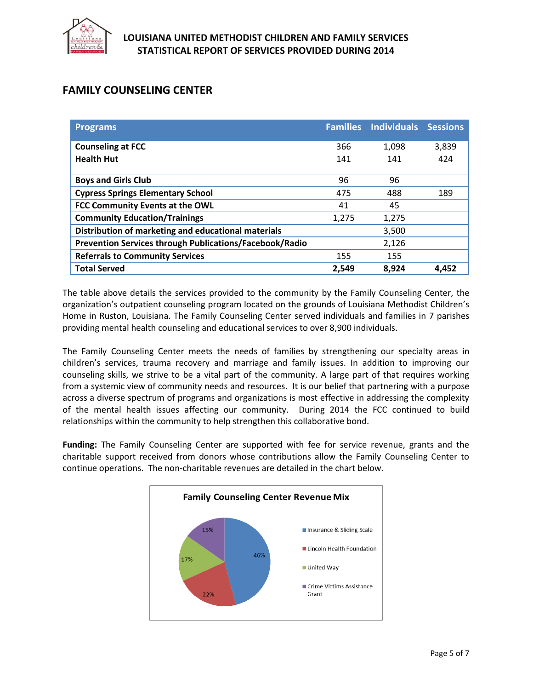

## **FAMILY COUNSELING CENTER**

| <b>Programs</b>                                                | <b>Families</b> | <b>Individuals</b> | <b>Sessions</b> |
|----------------------------------------------------------------|-----------------|--------------------|-----------------|
| <b>Counseling at FCC</b>                                       | 366             | 1,098              | 3,839           |
| <b>Health Hut</b>                                              | 141             | 141                | 424             |
| <b>Boys and Girls Club</b>                                     | 96              | 96                 |                 |
| <b>Cypress Springs Elementary School</b>                       | 475             | 488                | 189             |
| FCC Community Events at the OWL                                | 41              | 45                 |                 |
| <b>Community Education/Trainings</b>                           | 1,275           | 1,275              |                 |
| Distribution of marketing and educational materials            |                 | 3,500              |                 |
| <b>Prevention Services through Publications/Facebook/Radio</b> |                 | 2,126              |                 |
| <b>Referrals to Community Services</b>                         | 155             | 155                |                 |
| <b>Total Served</b>                                            | 2.549           | 8,924              | 4.452           |

The table above details the services provided to the community by the Family Counseling Center, the organization's outpatient counseling program located on the grounds of Louisiana Methodist Children's Home in Ruston, Louisiana. The Family Counseling Center served individuals and families in 7 parishes providing mental health counseling and educational services to over 8,900 individuals.

The Family Counseling Center meets the needs of families by strengthening our specialty areas in children's services, trauma recovery and marriage and family issues. In addition to improving our counseling skills, we strive to be a vital part of the community. A large part of that requires working from a systemic view of community needs and resources. It is our belief that partnering with a purpose across a diverse spectrum of programs and organizations is most effective in addressing the complexity of the mental health issues affecting our community. During 2014 the FCC continued to build relationships within the community to help strengthen this collaborative bond.

**Funding:** The Family Counseling Center are supported with fee for service revenue, grants and the charitable support received from donors whose contributions allow the Family Counseling Center to continue operations. The non-charitable revenues are detailed in the chart below.

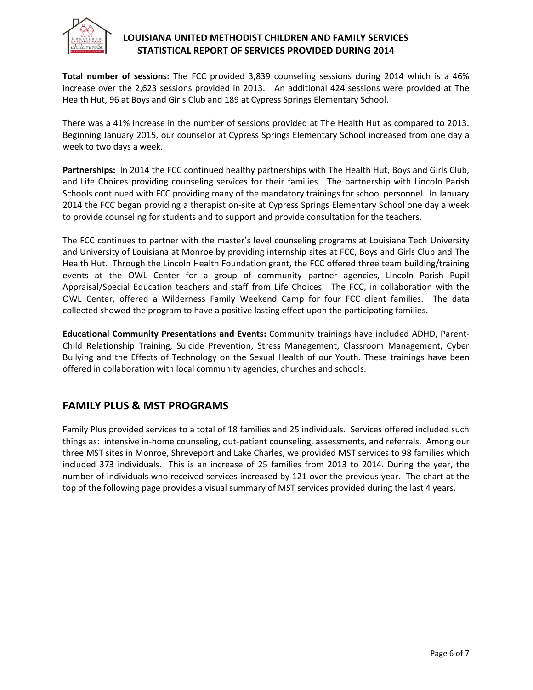

**Total number of sessions:** The FCC provided 3,839 counseling sessions during 2014 which is a 46% increase over the 2,623 sessions provided in 2013. An additional 424 sessions were provided at The Health Hut, 96 at Boys and Girls Club and 189 at Cypress Springs Elementary School.

There was a 41% increase in the number of sessions provided at The Health Hut as compared to 2013. Beginning January 2015, our counselor at Cypress Springs Elementary School increased from one day a week to two days a week.

**Partnerships:** In 2014 the FCC continued healthy partnerships with The Health Hut, Boys and Girls Club, and Life Choices providing counseling services for their families. The partnership with Lincoln Parish Schools continued with FCC providing many of the mandatory trainings for school personnel. In January 2014 the FCC began providing a therapist on-site at Cypress Springs Elementary School one day a week to provide counseling for students and to support and provide consultation for the teachers.

The FCC continues to partner with the master's level counseling programs at Louisiana Tech University and University of Louisiana at Monroe by providing internship sites at FCC, Boys and Girls Club and The Health Hut. Through the Lincoln Health Foundation grant, the FCC offered three team building/training events at the OWL Center for a group of community partner agencies, Lincoln Parish Pupil Appraisal/Special Education teachers and staff from Life Choices. The FCC, in collaboration with the OWL Center, offered a Wilderness Family Weekend Camp for four FCC client families. The data collected showed the program to have a positive lasting effect upon the participating families.

**Educational Community Presentations and Events:** Community trainings have included ADHD, Parent-Child Relationship Training, Suicide Prevention, Stress Management, Classroom Management, Cyber Bullying and the Effects of Technology on the Sexual Health of our Youth. These trainings have been offered in collaboration with local community agencies, churches and schools.

## **FAMILY PLUS & MST PROGRAMS**

Family Plus provided services to a total of 18 families and 25 individuals. Services offered included such things as: intensive in-home counseling, out-patient counseling, assessments, and referrals. Among our three MST sites in Monroe, Shreveport and Lake Charles, we provided MST services to 98 families which included 373 individuals. This is an increase of 25 families from 2013 to 2014. During the year, the number of individuals who received services increased by 121 over the previous year. The chart at the top of the following page provides a visual summary of MST services provided during the last 4 years.